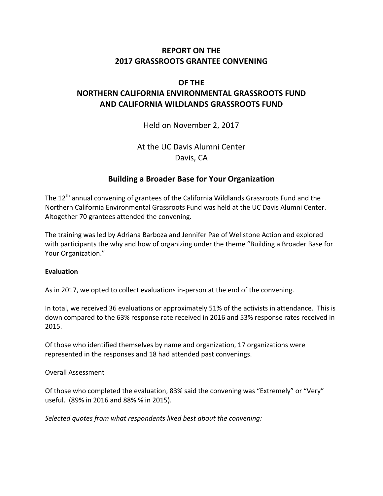# **REPORT ON THE 2017 GRASSROOTS GRANTEE CONVENING**

# **OF THE**

# **NORTHERN CALIFORNIA ENVIRONMENTAL GRASSROOTS FUND AND CALIFORNIA WILDLANDS GRASSROOTS FUND**

Held on November 2, 2017

At the UC Davis Alumni Center Davis, CA

# **Building a Broader Base for Your Organization**

The  $12<sup>th</sup>$  annual convening of grantees of the California Wildlands Grassroots Fund and the Northern California Environmental Grassroots Fund was held at the UC Davis Alumni Center. Altogether 70 grantees attended the convening.

The training was led by Adriana Barboza and Jennifer Pae of Wellstone Action and explored with participants the why and how of organizing under the theme "Building a Broader Base for Your Organization."

# **Evaluation**

As in 2017, we opted to collect evaluations in-person at the end of the convening.

In total, we received 36 evaluations or approximately 51% of the activists in attendance. This is down compared to the 63% response rate received in 2016 and 53% response rates received in 2015.

Of those who identified themselves by name and organization, 17 organizations were represented in the responses and 18 had attended past convenings.

# Overall Assessment

Of those who completed the evaluation, 83% said the convening was "Extremely" or "Very" useful. (89% in 2016 and 88% % in 2015).

# Selected quotes from what respondents liked best about the convening: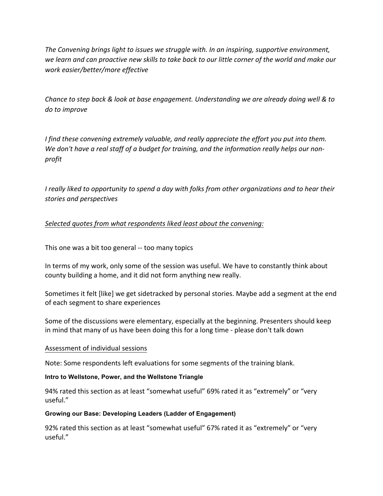The Convening brings light to issues we struggle with. In an inspiring, supportive environment, we learn and can proactive new skills to take back to our little corner of the world and make our *work easier/better/more effective*

*Chance to step back & look at base engagement. Understanding we are already doing well & to do to improve*

*I* find these convening extremely valuable, and really appreciate the effort you put into them. We don't have a real staff of a budget for training, and the information really helps our non*profit*

*I* really liked to opportunity to spend a day with folks from other organizations and to hear their *stories and perspectives* 

Selected quotes from what respondents liked least about the convening:

This one was a bit too general -- too many topics

In terms of my work, only some of the session was useful. We have to constantly think about county building a home, and it did not form anything new really.

Sometimes it felt [like] we get sidetracked by personal stories. Maybe add a segment at the end of each segment to share experiences

Some of the discussions were elementary, especially at the beginning. Presenters should keep in mind that many of us have been doing this for a long time - please don't talk down

# Assessment of individual sessions

Note: Some respondents left evaluations for some segments of the training blank.

#### **Intro to Wellstone, Power, and the Wellstone Triangle**

94% rated this section as at least "somewhat useful" 69% rated it as "extremely" or "very useful."

#### **Growing our Base: Developing Leaders (Ladder of Engagement)**

92% rated this section as at least "somewhat useful" 67% rated it as "extremely" or "very useful."